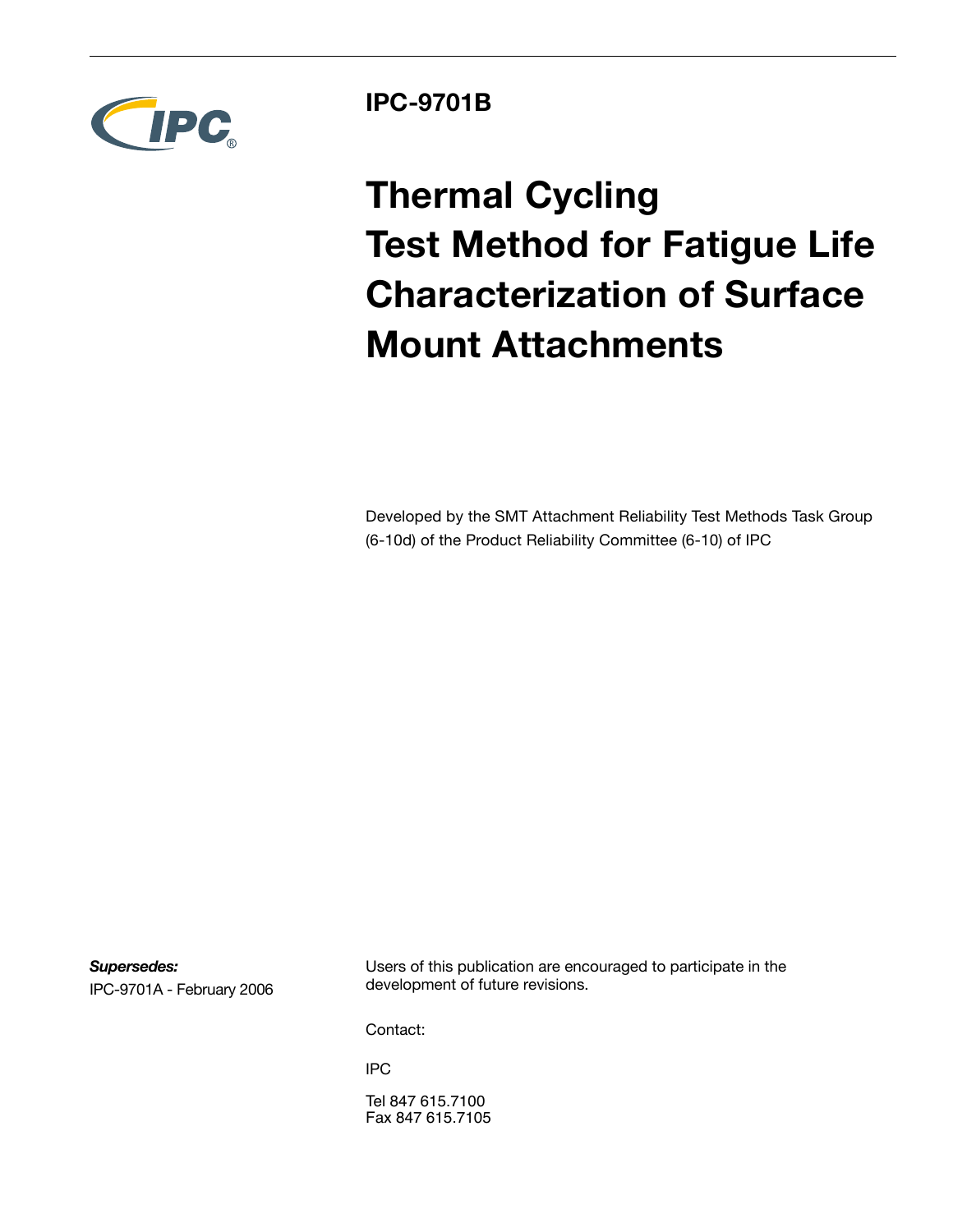

### **IPC-9701B**

# **Thermal Cycling Test Method for Fatigue Life Characterization of Surface Mount Attachments**

Developed by the SMT Attachment Reliability Test Methods Task Group (6-10d) of the Product Reliability Committee (6-10) of IPC

*Supersedes:* IPC-9701A - February 2006 Users of this publication are encouraged to participate in the development of future revisions.

Contact:

IPC

Tel 847 615.7100 Fax 847 615.7105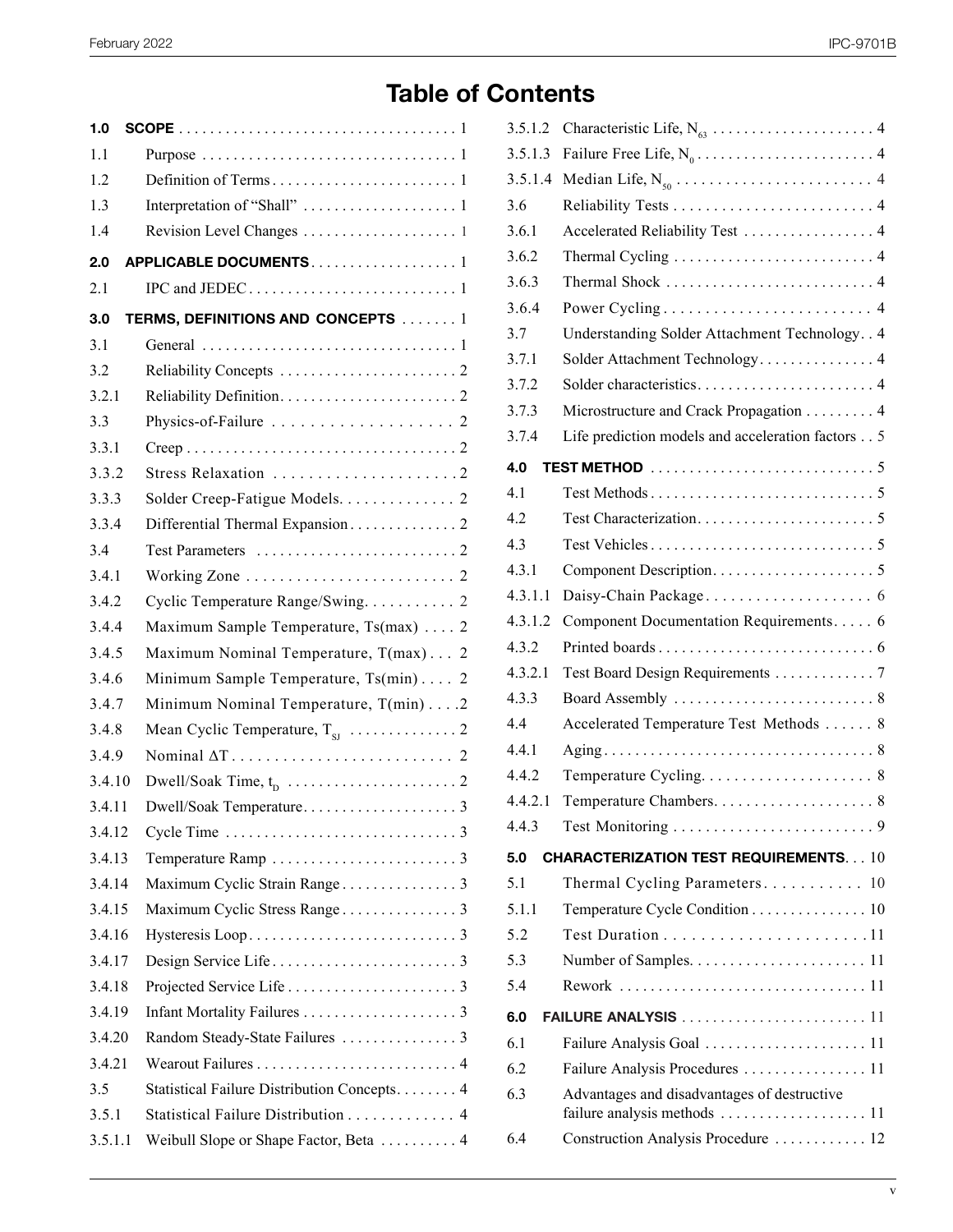# **Table of Contents**

| 1.0     |                                                                               |
|---------|-------------------------------------------------------------------------------|
| 1.1     |                                                                               |
| 1.2     |                                                                               |
| 1.3     |                                                                               |
| 1.4     |                                                                               |
| 2.0     | APPLICABLE DOCUMENTS1                                                         |
| 2.1     |                                                                               |
| 3.0     | TERMS, DEFINITIONS AND CONCEPTS  1                                            |
| 3.1     |                                                                               |
| 3.2     |                                                                               |
| 3.2.1   |                                                                               |
| 3.3     |                                                                               |
| 3.3.1   |                                                                               |
| 3.3.2   |                                                                               |
| 3.3.3   | Solder Creep-Fatigue Models. 2                                                |
| 3.3.4   |                                                                               |
| 3.4     |                                                                               |
| 3.4.1   | Working Zone $\dots \dots \dots \dots \dots \dots \dots \dots 2$              |
| 3.4.2   |                                                                               |
| 3.4.4   | Maximum Sample Temperature, Ts(max)  2                                        |
| 3.4.5   | Maximum Nominal Temperature, $T(max) \dots 2$                                 |
| 3.4.6   | Minimum Sample Temperature, Ts(min) 2                                         |
| 3.4.7   | Minimum Nominal Temperature, T(min) 2                                         |
| 3.4.8   |                                                                               |
| 3.4.9   |                                                                               |
| 3.4.10  |                                                                               |
| 3.4.11  |                                                                               |
| 3.4.12  | Cycle Time $\ldots \ldots \ldots \ldots \ldots \ldots \ldots \ldots \ldots 3$ |
| 3.4.13  |                                                                               |
| 3.4.14  | Maximum Cyclic Strain Range3                                                  |
| 3.4.15  |                                                                               |
| 3.4.16  |                                                                               |
| 3.4.17  |                                                                               |
| 3.4.18  |                                                                               |
| 3.4.19  |                                                                               |
| 3.4.20  |                                                                               |
| 3.4.21  |                                                                               |
| 3.5     | Statistical Failure Distribution Concepts 4                                   |
| 3.5.1   | Statistical Failure Distribution 4                                            |
| 3.5.1.1 | Weibull Slope or Shape Factor, Beta 4                                         |
|         |                                                                               |

| 3.5.1.2 |                                                   |
|---------|---------------------------------------------------|
| 3.5.1.3 |                                                   |
| 3.5.1.4 |                                                   |
| 3.6     |                                                   |
| 3.6.1   | Accelerated Reliability Test  4                   |
| 3.6.2   |                                                   |
| 3.6.3   |                                                   |
| 3.6.4   |                                                   |
| 3.7     | Understanding Solder Attachment Technology. . 4   |
| 3.7.1   | Solder Attachment Technology 4                    |
| 3.7.2   |                                                   |
| 3.7.3   | Microstructure and Crack Propagation 4            |
| 3.7.4   | Life prediction models and acceleration factors 5 |
| 4.0     |                                                   |
| 4.1     |                                                   |
| 4.2     |                                                   |
| 4.3     |                                                   |
| 4.3.1   |                                                   |
| 4.3.1.1 |                                                   |
| 4.3.1.2 | Component Documentation Requirements 6            |
| 4.3.2   |                                                   |
| 4.3.2.1 | Test Board Design Requirements 7                  |
| 4.3.3   |                                                   |
| 4.4     | Accelerated Temperature Test Methods  8           |
| 4.4.1   |                                                   |
| 4.4.2   |                                                   |
| 4.4.2.1 |                                                   |
| 4.4.3   |                                                   |
| 5.0     | <b>CHARACTERIZATION TEST REQUIREMENTS10</b>       |
| 51      | Thermal Cycling Parameters<br>10                  |
| 5.1.1   | Temperature Cycle Condition 10                    |
| 5.2     |                                                   |
| 5.3     |                                                   |
| 5.4     |                                                   |
| 6.0     |                                                   |
| 6.1     |                                                   |
| 6.2     | Failure Analysis Procedures  11                   |
| 6.3     | Advantages and disadvantages of destructive       |
| 6.4     | Construction Analysis Procedure  12               |
|         |                                                   |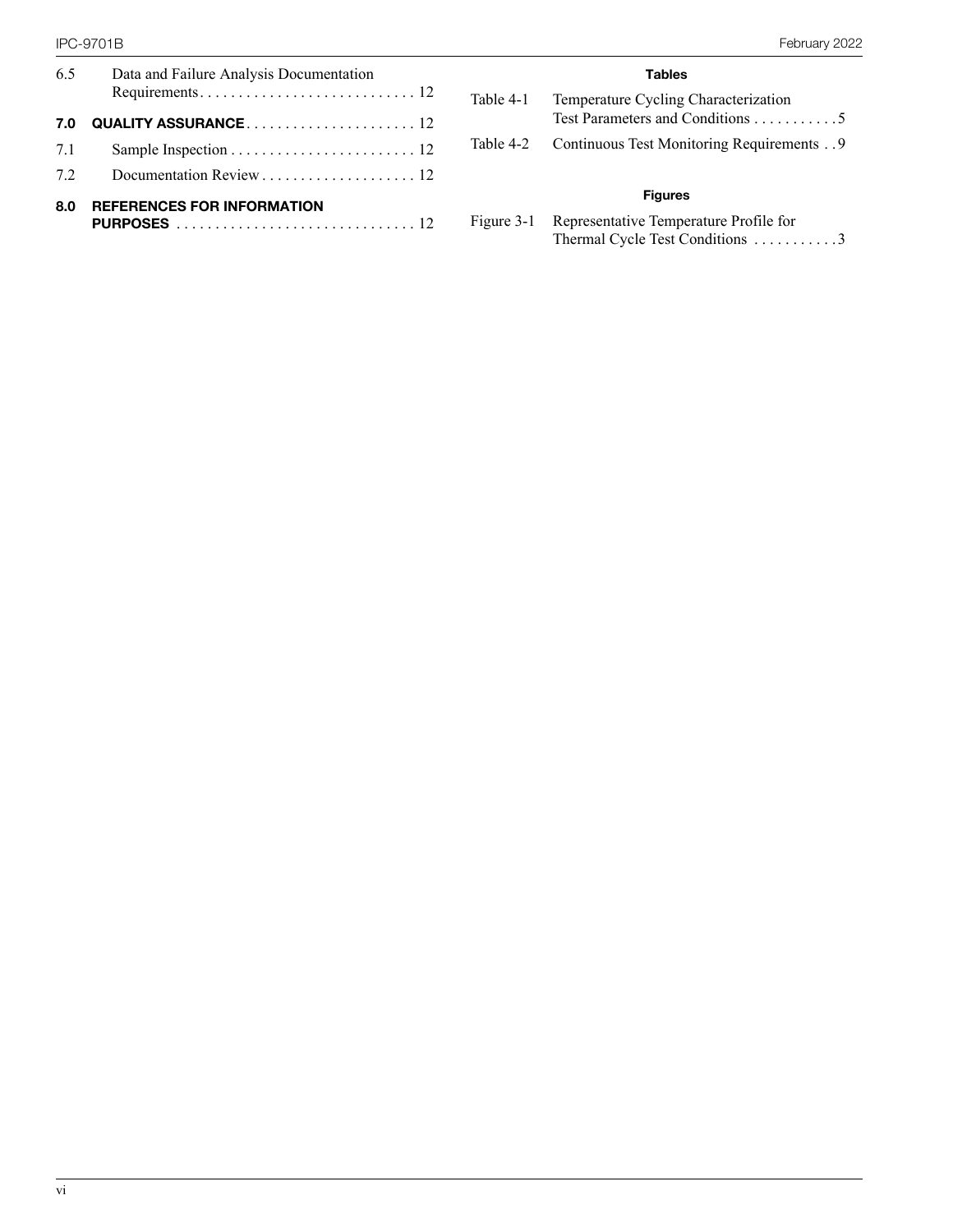| 6.5 | Data and Failure Analysis Documentation |
|-----|-----------------------------------------|
| 7.0 |                                         |
| 7.1 |                                         |
| 72  |                                         |
| 8.0 | <b>REFERENCES FOR INFORMATION</b>       |

#### **Tables**

| Table 4-1 | Temperature Cycling Characterization<br>Test Parameters and Conditions 5 |
|-----------|--------------------------------------------------------------------------|
|           | Table 4-2 Continuous Test Monitoring Requirements 9                      |

#### **Figures**

| Figure 3-1 Representative Temperature Profile for |
|---------------------------------------------------|
| Thermal Cycle Test Conditions $\dots \dots \dots$ |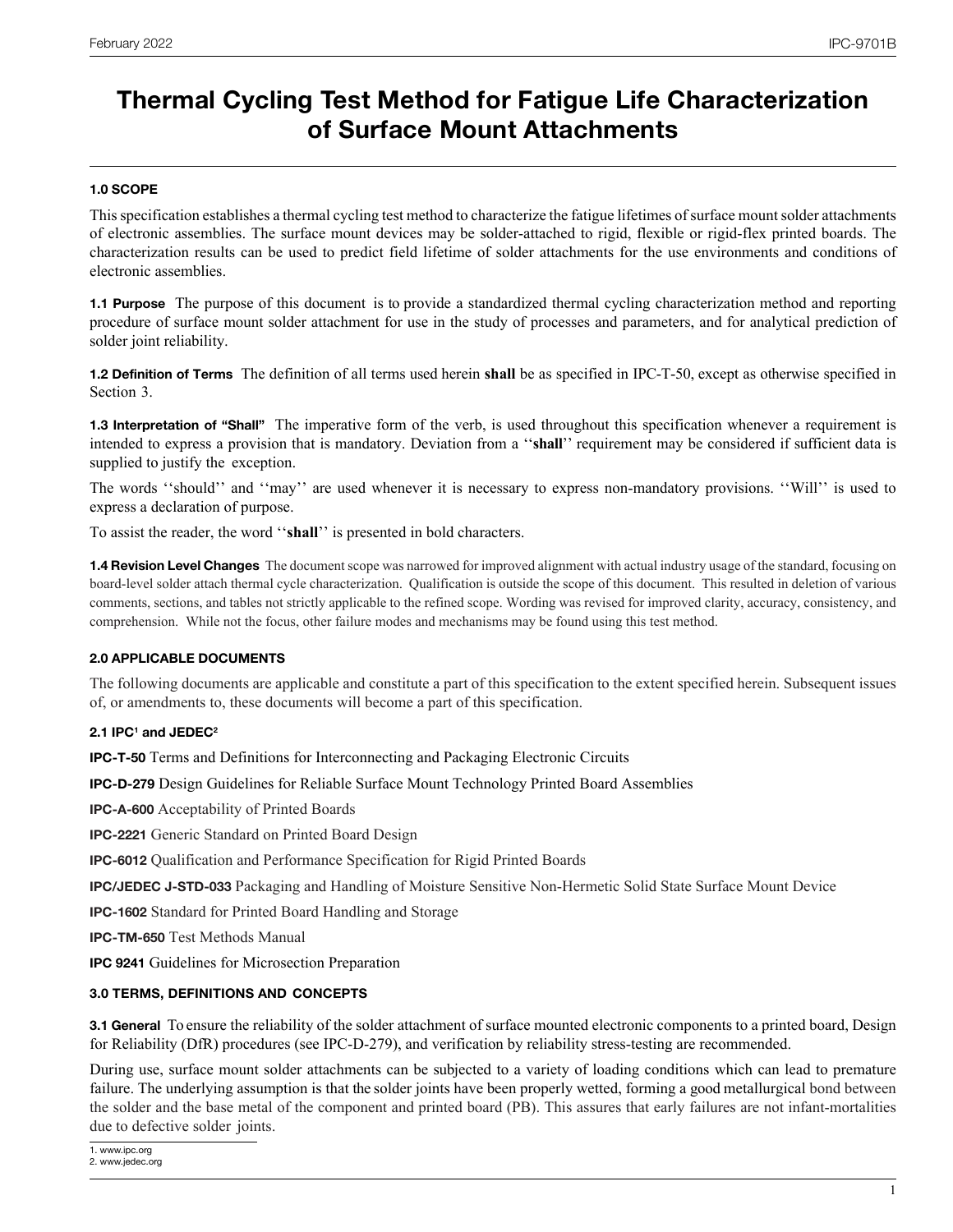## **Thermal Cycling Test Method for Fatigue Life Characterization of Surface Mount Attachments**

#### **1.0 SCOPE**

This specification establishes a thermal cycling test method to characterize the fatigue lifetimes of surface mount solder attachments of electronic assemblies. The surface mount devices may be solder-attached to rigid, flexible or rigid-flex printed boards. The characterization results can be used to predict field lifetime of solder attachments for the use environments and conditions of electronic assemblies.

**1.1 Purpose** The purpose of this document is to provide a standardized thermal cycling characterization method and reporting procedure of surface mount solder attachment for use in the study of processes and parameters, and for analytical prediction of solder joint reliability.

**1.2 Definition of Terms** The definition of all terms used herein **shall** be as specified in IPC-T-50, except as otherwise specified in Section 3.

**1.3 Interpretation of "Shall"** The imperative form of the verb, is used throughout this specification whenever a requirement is intended to express a provision that is mandatory. Deviation from a ''**shall**'' requirement may be considered if sufficient data is supplied to justify the exception.

The words ''should'' and ''may'' are used whenever it is necessary to express non-mandatory provisions. ''Will'' is used to express a declaration of purpose.

To assist the reader, the word ''**shall**'' is presented in bold characters.

**1.4 Revision Level Changes** The document scope was narrowed for improved alignment with actual industry usage of the standard, focusing on board-level solder attach thermal cycle characterization. Qualification is outside the scope of this document. This resulted in deletion of various comments, sections, and tables not strictly applicable to the refined scope. Wording was revised for improved clarity, accuracy, consistency, and comprehension. While not the focus, other failure modes and mechanisms may be found using this test method.

#### **2.0 APPLICABLE DOCUMENTS**

The following documents are applicable and constitute a part of this specification to the extent specified herein. Subsequent issues of, or amendments to, these documents will become a part of this specification.

#### **2.1 IPC1 and JEDEC2**

**IPC-T-50** Terms and Definitions for Interconnecting and Packaging Electronic Circuits

**IPC-D-279** Design Guidelines for Reliable Surface Mount Technology Printed Board Assemblies

**IPC-A-600** Acceptability of Printed Boards

**IPC-2221** Generic Standard on Printed Board Design

**IPC-6012** Qualification and Performance Specification for Rigid Printed Boards

**IPC/JEDEC J-STD-033** Packaging and Handling of Moisture Sensitive Non-Hermetic Solid State Surface Mount Device

**IPC-1602** Standard for Printed Board Handling and Storage

**IPC-TM-650** Test Methods Manual

**IPC 9241** Guidelines for Microsection Preparation

#### **3.0 TERMS, DEFINITIONS AND CONCEPTS**

**3.1 General** To ensure the reliability of the solder attachment of surface mounted electronic components to a printed board, Design for Reliability (DfR) procedures (see IPC-D-279), and verification by reliability stress-testing are recommended.

During use, surface mount solder attachments can be subjected to a variety of loading conditions which can lead to premature failure. The underlying assumption is that the solder joints have been properly wetted, forming a good metallurgical bond between the solder and the base metal of the component and printed board (PB). This assures that early failures are not infant-mortalities due to defective solder joints.

<sup>1.</sup> www.ipc.org 2. www.jedec.org